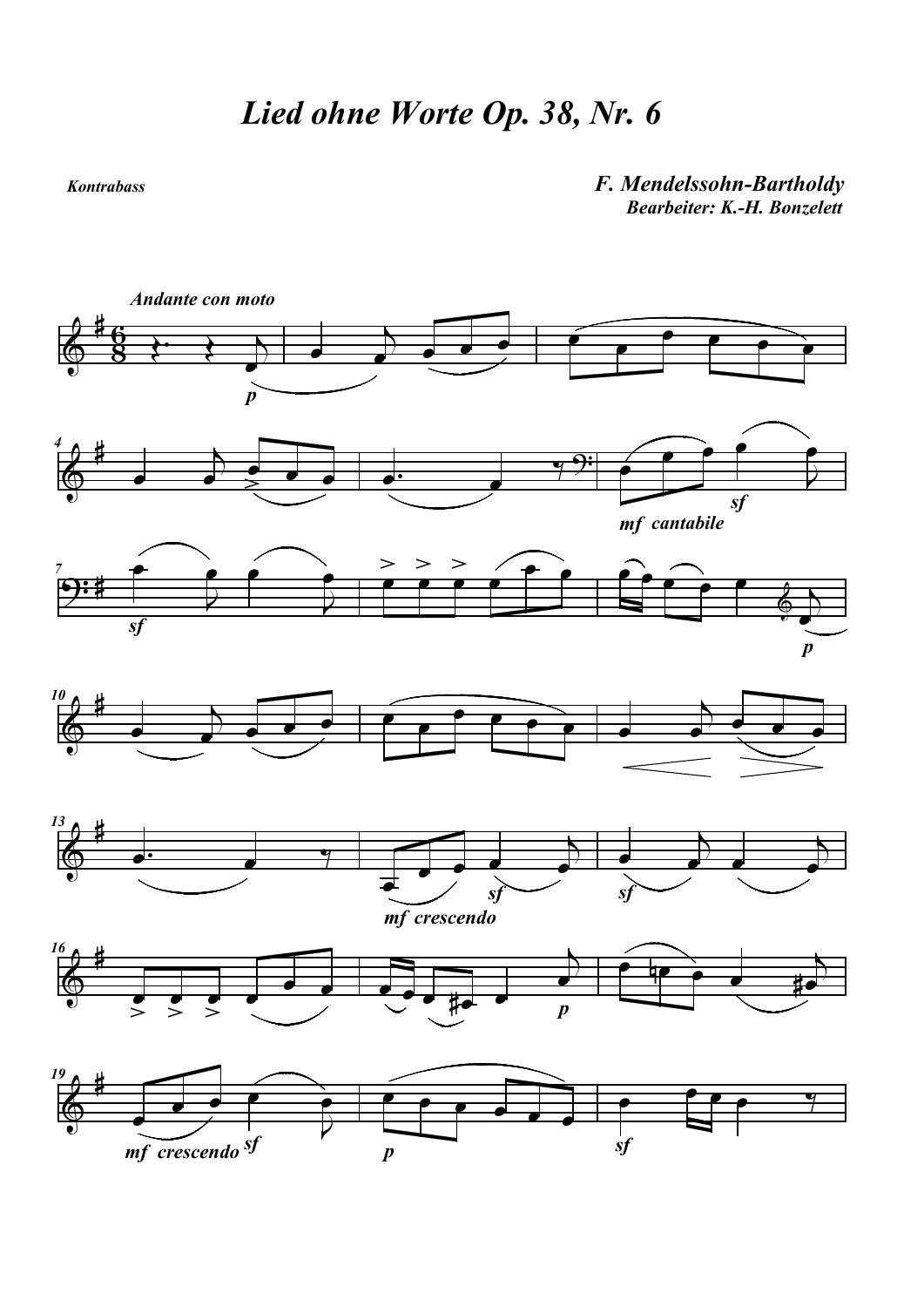## Kontrabass

## F. Mendelssohn-Bartholdy Bearbeiter: K.-H. Bonzelett